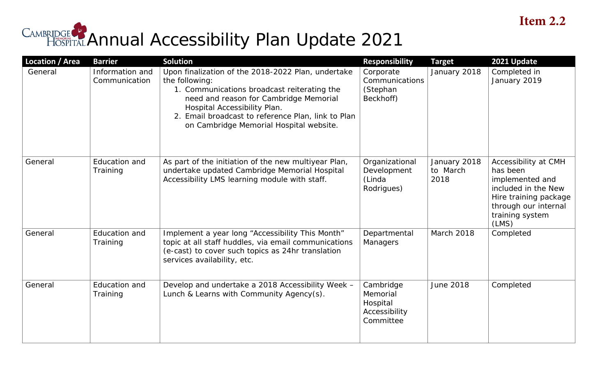## CAMBRIDGE Annual Accessibility Plan Update 2021

| <b>Location / Area</b> | <b>Barrier</b>                   | <b>Solution</b>                                                                                                                                                                                                                                                                                | <b>Responsibility</b>                                           | <b>Target</b>                    | 2021 Update                                                                                                                                             |
|------------------------|----------------------------------|------------------------------------------------------------------------------------------------------------------------------------------------------------------------------------------------------------------------------------------------------------------------------------------------|-----------------------------------------------------------------|----------------------------------|---------------------------------------------------------------------------------------------------------------------------------------------------------|
| General                | Information and<br>Communication | Upon finalization of the 2018-2022 Plan, undertake<br>the following:<br>1. Communications broadcast reiterating the<br>need and reason for Cambridge Memorial<br>Hospital Accessibility Plan.<br>2. Email broadcast to reference Plan, link to Plan<br>on Cambridge Memorial Hospital website. | Corporate<br>Communications<br>(Stephan<br>Beckhoff)            | January 2018                     | Completed in<br>January 2019                                                                                                                            |
| General                | Education and<br>Training        | As part of the initiation of the new multiyear Plan,<br>undertake updated Cambridge Memorial Hospital<br>Accessibility LMS learning module with staff.                                                                                                                                         | Organizational<br>Development<br>(Linda<br>Rodrigues)           | January 2018<br>to March<br>2018 | Accessibility at CMH<br>has been<br>implemented and<br>included in the New<br>Hire training package<br>through our internal<br>training system<br>(LMS) |
| General                | Education and<br>Training        | Implement a year long "Accessibility This Month"<br>topic at all staff huddles, via email communications<br>(e-cast) to cover such topics as 24hr translation<br>services availability, etc.                                                                                                   | Departmental<br>Managers                                        | <b>March 2018</b>                | Completed                                                                                                                                               |
| General                | <b>Education and</b><br>Training | Develop and undertake a 2018 Accessibility Week -<br>Lunch & Learns with Community Agency(s).                                                                                                                                                                                                  | Cambridge<br>Memorial<br>Hospital<br>Accessibility<br>Committee | <b>June 2018</b>                 | Completed                                                                                                                                               |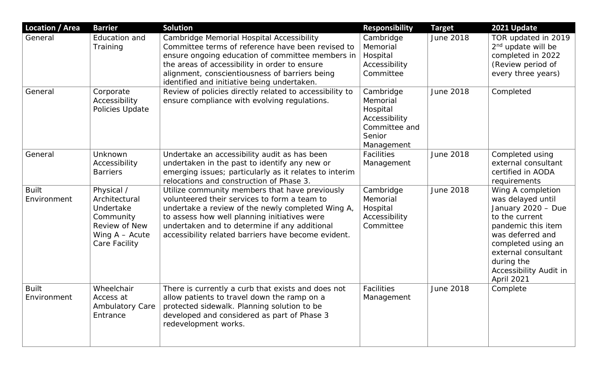| <b>Location / Area</b>      | <b>Barrier</b>                                                                                              | <b>Solution</b>                                                                                                                                                                                                                                                                                             | <b>Responsibility</b>                                                                       | <b>Target</b>    | 2021 Update                                                                                                                                                                                                                 |
|-----------------------------|-------------------------------------------------------------------------------------------------------------|-------------------------------------------------------------------------------------------------------------------------------------------------------------------------------------------------------------------------------------------------------------------------------------------------------------|---------------------------------------------------------------------------------------------|------------------|-----------------------------------------------------------------------------------------------------------------------------------------------------------------------------------------------------------------------------|
| General                     | Education and<br>Training                                                                                   | Cambridge Memorial Hospital Accessibility<br>Committee terms of reference have been revised to<br>ensure ongoing education of committee members in<br>the areas of accessibility in order to ensure<br>alignment, conscientiousness of barriers being<br>identified and initiative being undertaken.        | Cambridge<br>Memorial<br>Hospital<br>Accessibility<br>Committee                             | <b>June 2018</b> | TOR updated in 2019<br>$2nd$ update will be<br>completed in 2022<br>(Review period of<br>every three years)                                                                                                                 |
| General                     | Corporate<br>Accessibility<br>Policies Update                                                               | Review of policies directly related to accessibility to<br>ensure compliance with evolving regulations.                                                                                                                                                                                                     | Cambridge<br>Memorial<br>Hospital<br>Accessibility<br>Committee and<br>Senior<br>Management | <b>June 2018</b> | Completed                                                                                                                                                                                                                   |
| General                     | Unknown<br>Accessibility<br><b>Barriers</b>                                                                 | Undertake an accessibility audit as has been<br>undertaken in the past to identify any new or<br>emerging issues; particularly as it relates to interim<br>relocations and construction of Phase 3.                                                                                                         | <b>Facilities</b><br>Management                                                             | <b>June 2018</b> | Completed using<br>external consultant<br>certified in AODA<br>requirements                                                                                                                                                 |
| <b>Built</b><br>Environment | Physical /<br>Architectural<br>Undertake<br>Community<br>Review of New<br>Wing $A - Acute$<br>Care Facility | Utilize community members that have previously<br>volunteered their services to form a team to<br>undertake a review of the newly completed Wing A,<br>to assess how well planning initiatives were<br>undertaken and to determine if any additional<br>accessibility related barriers have become evident. | Cambridge<br>Memorial<br>Hospital<br>Accessibility<br>Committee                             | <b>June 2018</b> | Wing A completion<br>was delayed until<br>January 2020 - Due<br>to the current<br>pandemic this item<br>was deferred and<br>completed using an<br>external consultant<br>during the<br>Accessibility Audit in<br>April 2021 |
| <b>Built</b><br>Environment | Wheelchair<br>Access at<br><b>Ambulatory Care</b><br>Entrance                                               | There is currently a curb that exists and does not<br>allow patients to travel down the ramp on a<br>protected sidewalk. Planning solution to be<br>developed and considered as part of Phase 3<br>redevelopment works.                                                                                     | <b>Facilities</b><br>Management                                                             | <b>June 2018</b> | Complete                                                                                                                                                                                                                    |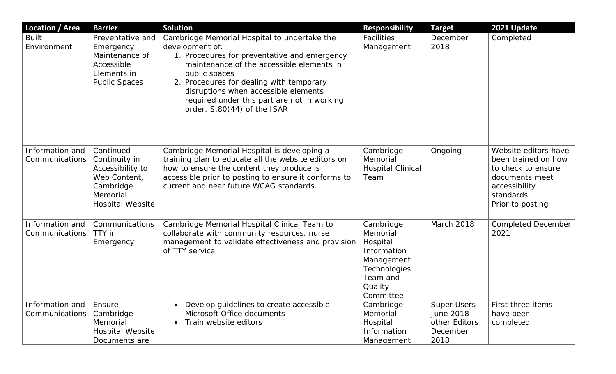| <b>Location / Area</b>            | <b>Barrier</b>                                                                                                     | <b>Solution</b>                                                                                                                                                                                                                                                                                                                                 | <b>Responsibility</b>                                                                                              | <b>Target</b>                                                        | 2021 Update                                                                                                                           |
|-----------------------------------|--------------------------------------------------------------------------------------------------------------------|-------------------------------------------------------------------------------------------------------------------------------------------------------------------------------------------------------------------------------------------------------------------------------------------------------------------------------------------------|--------------------------------------------------------------------------------------------------------------------|----------------------------------------------------------------------|---------------------------------------------------------------------------------------------------------------------------------------|
| <b>Built</b><br>Environment       | Preventative and<br>Emergency<br>Maintenance of<br>Accessible<br>Elements in<br><b>Public Spaces</b>               | Cambridge Memorial Hospital to undertake the<br>development of:<br>1. Procedures for preventative and emergency<br>maintenance of the accessible elements in<br>public spaces<br>2. Procedures for dealing with temporary<br>disruptions when accessible elements<br>required under this part are not in working<br>order. S.80(44) of the ISAR | <b>Facilities</b><br>Management                                                                                    | December<br>2018                                                     | Completed                                                                                                                             |
| Information and<br>Communications | Continued<br>Continuity in<br>Accessibility to<br>Web Content,<br>Cambridge<br>Memorial<br><b>Hospital Website</b> | Cambridge Memorial Hospital is developing a<br>training plan to educate all the website editors on<br>how to ensure the content they produce is<br>accessible prior to posting to ensure it conforms to<br>current and near future WCAG standards.                                                                                              | Cambridge<br>Memorial<br><b>Hospital Clinical</b><br>Team                                                          | Ongoing                                                              | Website editors have<br>been trained on how<br>to check to ensure<br>documents meet<br>accessibility<br>standards<br>Prior to posting |
| Information and<br>Communications | Communications<br>TTY in<br>Emergency                                                                              | Cambridge Memorial Hospital Clinical Team to<br>collaborate with community resources, nurse<br>management to validate effectiveness and provision<br>of TTY service.                                                                                                                                                                            | Cambridge<br>Memorial<br>Hospital<br>Information<br>Management<br>Technologies<br>Team and<br>Quality<br>Committee | March 2018                                                           | <b>Completed December</b><br>2021                                                                                                     |
| Information and<br>Communications | Ensure<br>Cambridge<br>Memorial<br><b>Hospital Website</b><br>Documents are                                        | Develop guidelines to create accessible<br>Microsoft Office documents<br>Train website editors                                                                                                                                                                                                                                                  | Cambridge<br>Memorial<br>Hospital<br>Information<br>Management                                                     | <b>Super Users</b><br>June 2018<br>other Editors<br>December<br>2018 | First three items<br>have been<br>completed.                                                                                          |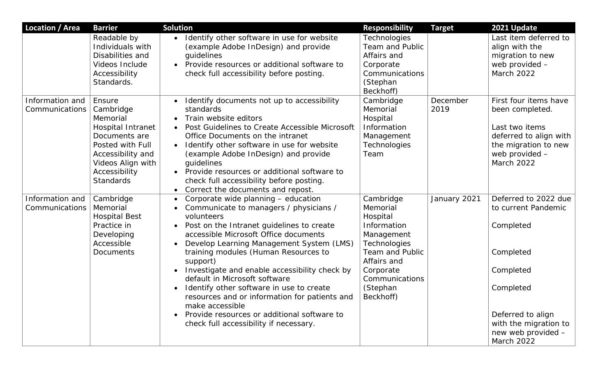| Location / Area                   | <b>Barrier</b>                                                                                                                                                           | <b>Solution</b>                                                                                                                                                                                                                                                                                                                                                                                                                                     | <b>Responsibility</b>                                                                                         | <b>Target</b>    | 2021 Update                                                                                                                                  |
|-----------------------------------|--------------------------------------------------------------------------------------------------------------------------------------------------------------------------|-----------------------------------------------------------------------------------------------------------------------------------------------------------------------------------------------------------------------------------------------------------------------------------------------------------------------------------------------------------------------------------------------------------------------------------------------------|---------------------------------------------------------------------------------------------------------------|------------------|----------------------------------------------------------------------------------------------------------------------------------------------|
|                                   | Readable by<br>Individuals with<br>Disabilities and<br>Videos Include<br>Accessibility<br>Standards.                                                                     | Identify other software in use for website<br>$\bullet$<br>(example Adobe InDesign) and provide<br>quidelines<br>Provide resources or additional software to<br>$\bullet$<br>check full accessibility before posting.                                                                                                                                                                                                                               | Technologies<br><b>Team and Public</b><br>Affairs and<br>Corporate<br>Communications<br>(Stephan<br>Beckhoff) |                  | Last item deferred to<br>align with the<br>migration to new<br>web provided -<br>March 2022                                                  |
| Information and<br>Communications | Ensure<br>Cambridge<br>Memorial<br>Hospital Intranet<br>Documents are<br>Posted with Full<br>Accessibility and<br>Videos Align with<br>Accessibility<br><b>Standards</b> | Identify documents not up to accessibility<br>$\bullet$<br>standards<br>Train website editors<br>$\bullet$<br>Post Guidelines to Create Accessible Microsoft<br>Office Documents on the intranet<br>Identify other software in use for website<br>$\bullet$<br>(example Adobe InDesign) and provide<br>quidelines<br>• Provide resources or additional software to<br>check full accessibility before posting.<br>Correct the documents and repost. | Cambridge<br>Memorial<br>Hospital<br>Information<br>Management<br>Technologies<br>Team                        | December<br>2019 | First four items have<br>been completed.<br>Last two items<br>deferred to align with<br>the migration to new<br>web provided -<br>March 2022 |
| Information and<br>Communications | Cambridge<br>Memorial<br><b>Hospital Best</b><br>Practice in<br>Developing<br>Accessible                                                                                 | Corporate wide planning - education<br>Communicate to managers / physicians /<br>volunteers<br>Post on the Intranet guidelines to create<br>$\bullet$<br>accessible Microsoft Office documents<br>Develop Learning Management System (LMS)                                                                                                                                                                                                          | Cambridge<br>Memorial<br>Hospital<br>Information<br>Management<br>Technologies                                | January 2021     | Deferred to 2022 due<br>to current Pandemic<br>Completed                                                                                     |
|                                   | Documents                                                                                                                                                                | training modules (Human Resources to<br>support)<br>Investigate and enable accessibility check by<br>default in Microsoft software<br>Identify other software in use to create<br>resources and or information for patients and<br>make accessible                                                                                                                                                                                                  | <b>Team and Public</b><br>Affairs and<br>Corporate<br>Communications<br>(Stephan<br>Beckhoff)                 |                  | Completed<br>Completed<br>Completed                                                                                                          |
|                                   |                                                                                                                                                                          | Provide resources or additional software to<br>check full accessibility if necessary.                                                                                                                                                                                                                                                                                                                                                               |                                                                                                               |                  | Deferred to align<br>with the migration to<br>new web provided -<br><b>March 2022</b>                                                        |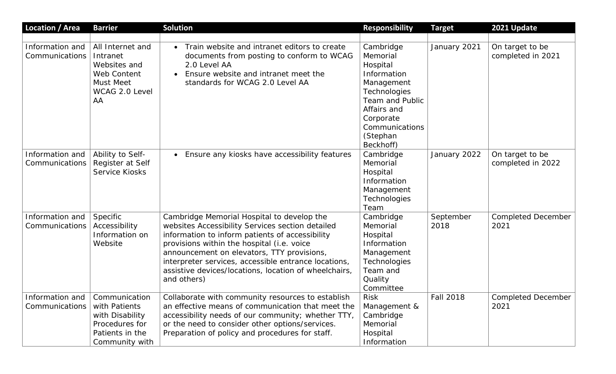| <b>Location / Area</b>                            | <b>Barrier</b>                                                                                          | <b>Solution</b>                                                                                                                                                                                                                                                                                                                                                               | <b>Responsibility</b>                                                                                                                                                           | <b>Target</b>     | 2021 Update                          |
|---------------------------------------------------|---------------------------------------------------------------------------------------------------------|-------------------------------------------------------------------------------------------------------------------------------------------------------------------------------------------------------------------------------------------------------------------------------------------------------------------------------------------------------------------------------|---------------------------------------------------------------------------------------------------------------------------------------------------------------------------------|-------------------|--------------------------------------|
|                                                   |                                                                                                         |                                                                                                                                                                                                                                                                                                                                                                               |                                                                                                                                                                                 |                   |                                      |
| Information and<br>Communications                 | All Internet and<br>Intranet<br>Websites and<br>Web Content<br><b>Must Meet</b><br>WCAG 2.0 Level<br>AA | Train website and intranet editors to create<br>documents from posting to conform to WCAG<br>2.0 Level AA<br>Ensure website and intranet meet the<br>standards for WCAG 2.0 Level AA                                                                                                                                                                                          | Cambridge<br>Memorial<br>Hospital<br>Information<br>Management<br>Technologies<br><b>Team and Public</b><br>Affairs and<br>Corporate<br>Communications<br>(Stephan<br>Beckhoff) | January 2021      | On target to be<br>completed in 2021 |
| Information and<br>Communications                 | Ability to Self-<br>Register at Self<br><b>Service Kiosks</b>                                           | • Ensure any kiosks have accessibility features                                                                                                                                                                                                                                                                                                                               | Cambridge<br>Memorial<br>Hospital<br>Information<br>Management<br>Technologies<br>Team                                                                                          | January 2022      | On target to be<br>completed in 2022 |
| Information and<br>Communications                 | Specific<br>Accessibility<br>Information on<br>Website                                                  | Cambridge Memorial Hospital to develop the<br>websites Accessibility Services section detailed<br>information to inform patients of accessibility<br>provisions within the hospital (i.e. voice<br>announcement on elevators, TTY provisions,<br>interpreter services, accessible entrance locations,<br>assistive devices/locations, location of wheelchairs,<br>and others) | Cambridge<br>Memorial<br>Hospital<br>Information<br>Management<br>Technologies<br>Team and<br>Quality<br>Committee                                                              | September<br>2018 | <b>Completed December</b><br>2021    |
| Information and   Communication<br>Communications | with Patients<br>with Disability<br>Procedures for<br>Patients in the<br>Community with                 | Collaborate with community resources to establish<br>an effective means of communication that meet the<br>accessibility needs of our community; whether TTY,<br>or the need to consider other options/services.<br>Preparation of policy and procedures for staff.                                                                                                            | <b>Risk</b><br>Management &<br>Cambridge<br>Memorial<br>Hospital<br>Information                                                                                                 | <b>Fall 2018</b>  | <b>Completed December</b><br>2021    |